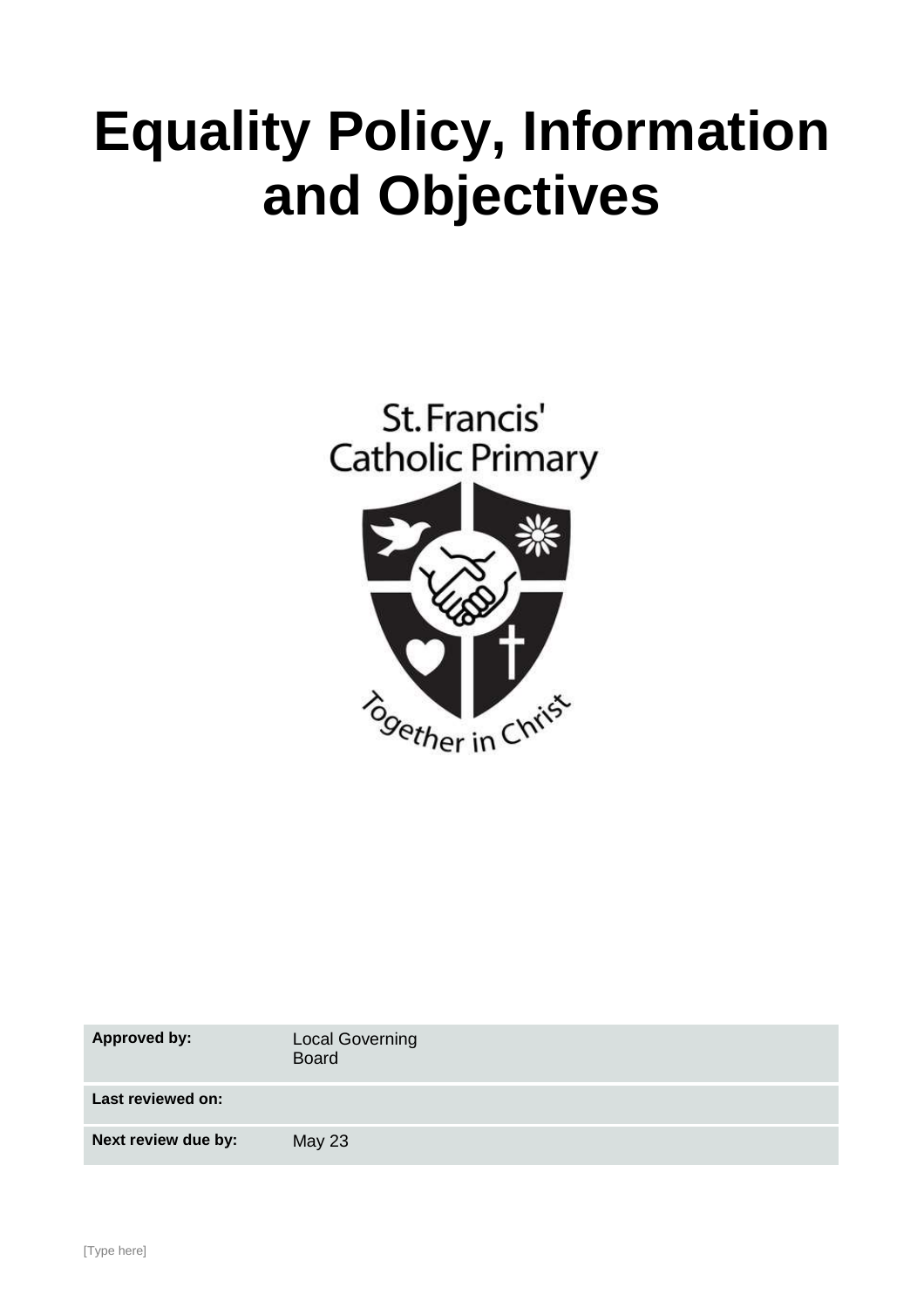# **Equality Policy, Information and Objectives**



| <b>Approved by:</b> | <b>Local Governing</b><br><b>Board</b> |
|---------------------|----------------------------------------|
| Last reviewed on:   |                                        |
| Next review due by: | <b>May 23</b>                          |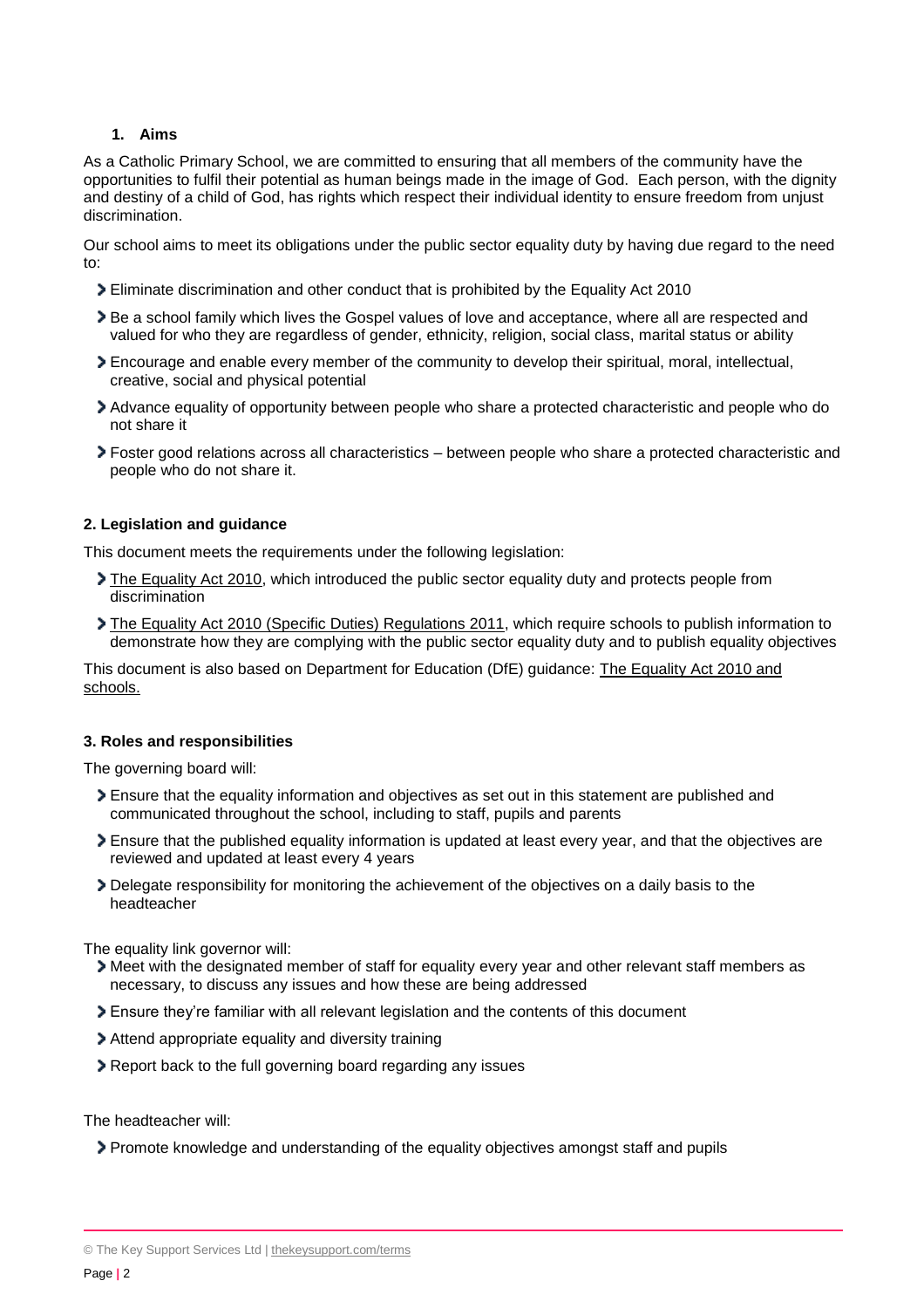## **1. Aims**

As a Catholic Primary School, we are committed to ensuring that all members of the community have the opportunities to fulfil their potential as human beings made in the image of God. Each person, with the dignity and destiny of a child of God, has rights which respect their individual identity to ensure freedom from unjust discrimination.

Our school aims to meet its obligations under the public sector equality duty by having due regard to the need to:

- Eliminate discrimination and other conduct that is prohibited by the Equality Act 2010
- Be a school family which lives the Gospel values of love and acceptance, where all are respected and valued for who they are regardless of gender, ethnicity, religion, social class, marital status or ability
- Encourage and enable every member of the community to develop their spiritual, moral, intellectual, creative, social and physical potential
- Advance equality of opportunity between people who share a protected characteristic and people who do not share it
- Foster good relations across all characteristics between people who share a protected characteristic and people who do not share it.

#### **2. Legislation and guidance**

This document meets the requirements under the following legislation:

- [The Equality Act 2010,](http://www.legislation.gov.uk/ukpga/2010/15/contents) which introduced the public sector equality duty and protects people from discrimination
- [The Equality Act 2010 \(Specific Duties\) Regulations 2011,](http://www.legislation.gov.uk/uksi/2011/2260/contents/made) which require schools to publish information to demonstrate how they are complying with the public sector equality duty and to publish equality objectives

This document is also based on Department for Education (DfE) guidance: [The Equality Act 2010 and](https://www.gov.uk/government/publications/equality-act-2010-advice-for-schools)  [schools.](https://www.gov.uk/government/publications/equality-act-2010-advice-for-schools) 

#### **3. Roles and responsibilities**

The governing board will:

- Ensure that the equality information and objectives as set out in this statement are published and communicated throughout the school, including to staff, pupils and parents
- Ensure that the published equality information is updated at least every year, and that the objectives are reviewed and updated at least every 4 years
- Delegate responsibility for monitoring the achievement of the objectives on a daily basis to the headteacher

The equality link governor will:

- Meet with the designated member of staff for equality every year and other relevant staff members as necessary, to discuss any issues and how these are being addressed
- Ensure they're familiar with all relevant legislation and the contents of this document
- Attend appropriate equality and diversity training
- Report back to the full governing board regarding any issues

The headteacher will:

Promote knowledge and understanding of the equality objectives amongst staff and pupils

<sup>©</sup> The Key Support Services Ltd | [thekeysupport.com/terms](https://thekeysupport.com/terms-of-use)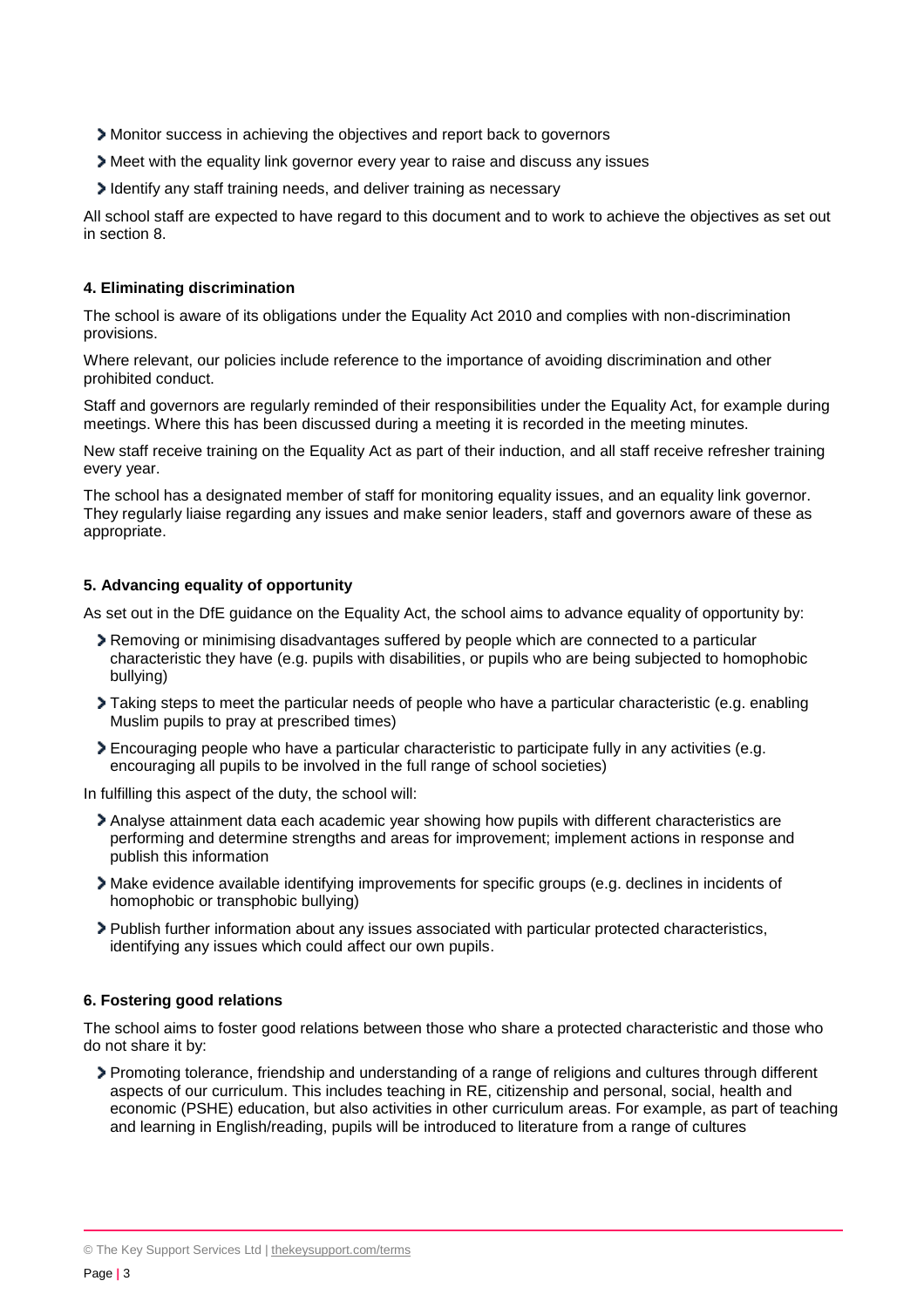- Monitor success in achieving the objectives and report back to governors
- Meet with the equality link governor every year to raise and discuss any issues
- I dentify any staff training needs, and deliver training as necessary

All school staff are expected to have regard to this document and to work to achieve the objectives as set out in section 8.

#### **4. Eliminating discrimination**

The school is aware of its obligations under the Equality Act 2010 and complies with non-discrimination provisions.

Where relevant, our policies include reference to the importance of avoiding discrimination and other prohibited conduct.

Staff and governors are regularly reminded of their responsibilities under the Equality Act, for example during meetings. Where this has been discussed during a meeting it is recorded in the meeting minutes.

New staff receive training on the Equality Act as part of their induction, and all staff receive refresher training every year.

The school has a designated member of staff for monitoring equality issues, and an equality link governor. They regularly liaise regarding any issues and make senior leaders, staff and governors aware of these as appropriate.

#### **5. Advancing equality of opportunity**

As set out in the DfE guidance on the Equality Act, the school aims to advance equality of opportunity by:

- Removing or minimising disadvantages suffered by people which are connected to a particular characteristic they have (e.g. pupils with disabilities, or pupils who are being subjected to homophobic bullying)
- Taking steps to meet the particular needs of people who have a particular characteristic (e.g. enabling Muslim pupils to pray at prescribed times)
- Encouraging people who have a particular characteristic to participate fully in any activities (e.g. encouraging all pupils to be involved in the full range of school societies)

In fulfilling this aspect of the duty, the school will:

- Analyse attainment data each academic year showing how pupils with different characteristics are performing and determine strengths and areas for improvement; implement actions in response and publish this information
- Make evidence available identifying improvements for specific groups (e.g. declines in incidents of homophobic or transphobic bullying)
- Publish further information about any issues associated with particular protected characteristics, identifying any issues which could affect our own pupils.

#### **6. Fostering good relations**

The school aims to foster good relations between those who share a protected characteristic and those who do not share it by:

Promoting tolerance, friendship and understanding of a range of religions and cultures through different aspects of our curriculum. This includes teaching in RE, citizenship and personal, social, health and economic (PSHE) education, but also activities in other curriculum areas. For example, as part of teaching and learning in English/reading, pupils will be introduced to literature from a range of cultures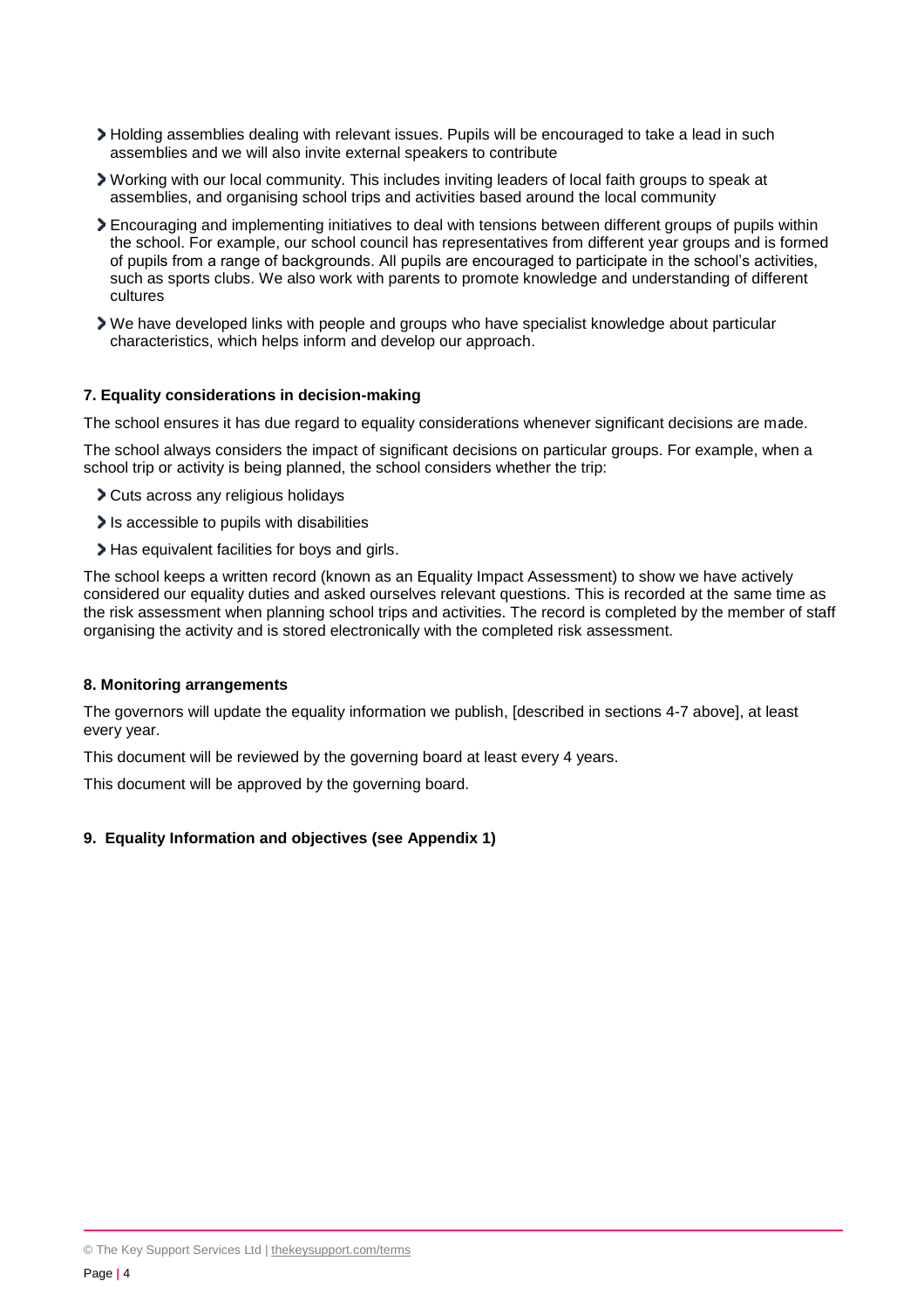- Holding assemblies dealing with relevant issues. Pupils will be encouraged to take a lead in such assemblies and we will also invite external speakers to contribute
- Working with our local community. This includes inviting leaders of local faith groups to speak at assemblies, and organising school trips and activities based around the local community
- Encouraging and implementing initiatives to deal with tensions between different groups of pupils within the school. For example, our school council has representatives from different year groups and is formed of pupils from a range of backgrounds. All pupils are encouraged to participate in the school's activities, such as sports clubs. We also work with parents to promote knowledge and understanding of different cultures
- We have developed links with people and groups who have specialist knowledge about particular characteristics, which helps inform and develop our approach.

#### **7. Equality considerations in decision-making**

The school ensures it has due regard to equality considerations whenever significant decisions are made.

The school always considers the impact of significant decisions on particular groups. For example, when a school trip or activity is being planned, the school considers whether the trip:

- Cuts across any religious holidays
- Is accessible to pupils with disabilities
- Has equivalent facilities for boys and girls.

The school keeps a written record (known as an Equality Impact Assessment) to show we have actively considered our equality duties and asked ourselves relevant questions. This is recorded at the same time as the risk assessment when planning school trips and activities. The record is completed by the member of staff organising the activity and is stored electronically with the completed risk assessment.

#### **8. Monitoring arrangements**

The governors will update the equality information we publish, [described in sections 4-7 above], at least every year.

This document will be reviewed by the governing board at least every 4 years.

This document will be approved by the governing board.

#### **9. Equality Information and objectives (see Appendix 1)**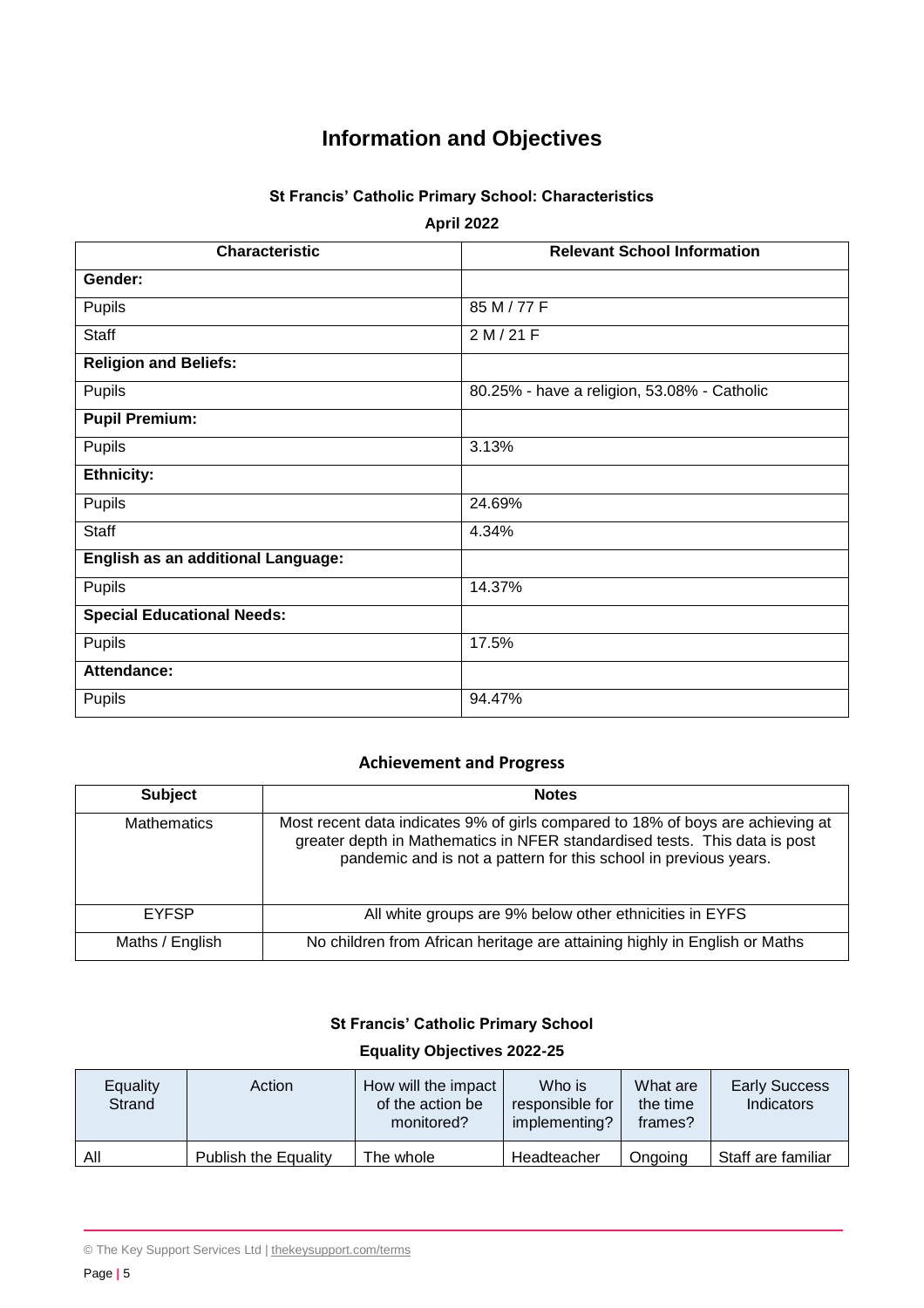# **Information and Objectives**

# **St Francis' Catholic Primary School: Characteristics**

**April 2022**

| <b>Characteristic</b>              | <b>Relevant School Information</b>          |  |  |  |
|------------------------------------|---------------------------------------------|--|--|--|
| Gender:                            |                                             |  |  |  |
| Pupils                             | 85 M / 77 F                                 |  |  |  |
| <b>Staff</b>                       | 2 M / 21 F                                  |  |  |  |
| <b>Religion and Beliefs:</b>       |                                             |  |  |  |
| Pupils                             | 80.25% - have a religion, 53.08% - Catholic |  |  |  |
| <b>Pupil Premium:</b>              |                                             |  |  |  |
| Pupils                             | 3.13%                                       |  |  |  |
| <b>Ethnicity:</b>                  |                                             |  |  |  |
| Pupils                             | 24.69%                                      |  |  |  |
| <b>Staff</b>                       | 4.34%                                       |  |  |  |
| English as an additional Language: |                                             |  |  |  |
| Pupils                             | 14.37%                                      |  |  |  |
| <b>Special Educational Needs:</b>  |                                             |  |  |  |
| Pupils                             | 17.5%                                       |  |  |  |
| Attendance:                        |                                             |  |  |  |
| Pupils                             | 94.47%                                      |  |  |  |

# **Achievement and Progress**

| <b>Subject</b>     | <b>Notes</b>                                                                                                                                                                                                                      |  |  |  |
|--------------------|-----------------------------------------------------------------------------------------------------------------------------------------------------------------------------------------------------------------------------------|--|--|--|
| <b>Mathematics</b> | Most recent data indicates 9% of girls compared to 18% of boys are achieving at<br>greater depth in Mathematics in NFER standardised tests. This data is post<br>pandemic and is not a pattern for this school in previous years. |  |  |  |
| <b>EYFSP</b>       | All white groups are 9% below other ethnicities in EYFS                                                                                                                                                                           |  |  |  |
| Maths / English    | No children from African heritage are attaining highly in English or Maths                                                                                                                                                        |  |  |  |

# **St Francis' Catholic Primary School**

### **Equality Objectives 2022-25**

| Equality<br>Strand | Action               | How will the impact<br>of the action be<br>monitored? | Who is<br>responsible for<br>implementing? | What are<br>the time<br>frames? | <b>Early Success</b><br>Indicators |
|--------------------|----------------------|-------------------------------------------------------|--------------------------------------------|---------------------------------|------------------------------------|
| All                | Publish the Equality | The whole                                             | Headteacher                                | Ongoing                         | Staff are familiar                 |

<sup>©</sup> The Key Support Services Ltd | [thekeysupport.com/terms](https://thekeysupport.com/terms-of-use)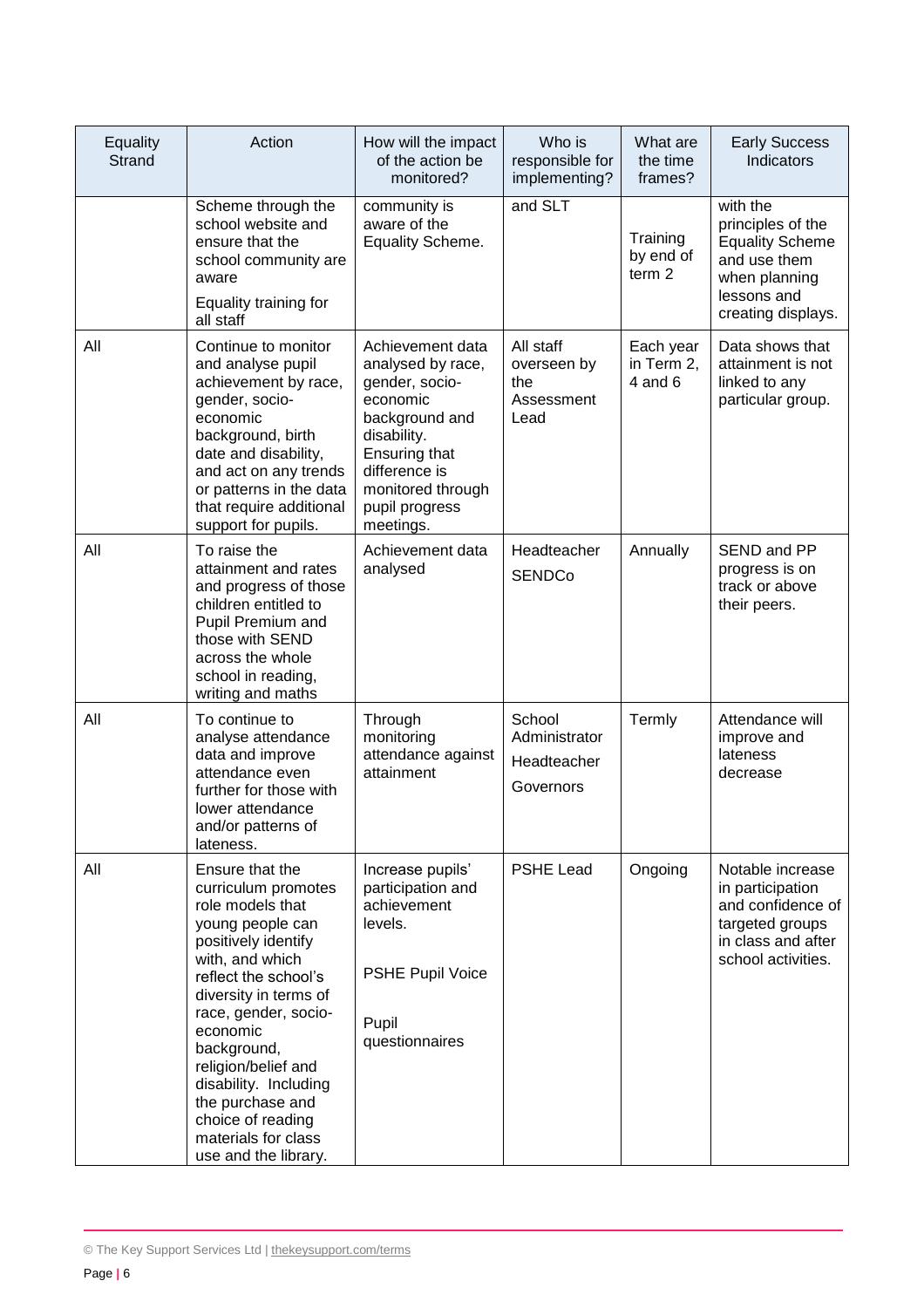| Equality<br>Strand | Action                                                                                                                                                                                                                                                                                                                                                               | How will the impact<br>of the action be<br>monitored?                                                                                                                                      | Who is<br>responsible for<br>implementing?            | What are<br>the time<br>frames?            | <b>Early Success</b><br>Indicators                                                                                            |
|--------------------|----------------------------------------------------------------------------------------------------------------------------------------------------------------------------------------------------------------------------------------------------------------------------------------------------------------------------------------------------------------------|--------------------------------------------------------------------------------------------------------------------------------------------------------------------------------------------|-------------------------------------------------------|--------------------------------------------|-------------------------------------------------------------------------------------------------------------------------------|
|                    | Scheme through the<br>school website and<br>ensure that the<br>school community are<br>aware<br>Equality training for<br>all staff                                                                                                                                                                                                                                   | community is<br>aware of the<br>Equality Scheme.                                                                                                                                           | and SLT                                               | Training<br>by end of<br>term <sub>2</sub> | with the<br>principles of the<br><b>Equality Scheme</b><br>and use them<br>when planning<br>lessons and<br>creating displays. |
| All                | Continue to monitor<br>and analyse pupil<br>achievement by race,<br>gender, socio-<br>economic<br>background, birth<br>date and disability,<br>and act on any trends<br>or patterns in the data<br>that require additional<br>support for pupils.                                                                                                                    | Achievement data<br>analysed by race,<br>gender, socio-<br>economic<br>background and<br>disability.<br>Ensuring that<br>difference is<br>monitored through<br>pupil progress<br>meetings. | All staff<br>overseen by<br>the<br>Assessment<br>Lead | Each year<br>in Term 2,<br>$4$ and $6$     | Data shows that<br>attainment is not<br>linked to any<br>particular group.                                                    |
| All                | To raise the<br>attainment and rates<br>and progress of those<br>children entitled to<br>Pupil Premium and<br>those with SEND<br>across the whole<br>school in reading,<br>writing and maths                                                                                                                                                                         | Achievement data<br>analysed                                                                                                                                                               | Headteacher<br><b>SENDCo</b>                          | Annually                                   | SEND and PP<br>progress is on<br>track or above<br>their peers.                                                               |
| All                | To continue to<br>analyse attendance<br>data and improve<br>attendance even<br>further for those with<br>lower attendance<br>and/or patterns of<br>lateness.                                                                                                                                                                                                         | Through<br>monitoring<br>attendance against<br>attainment                                                                                                                                  | School<br>Administrator<br>Headteacher<br>Governors   | Termly                                     | Attendance will<br>improve and<br>lateness<br>decrease                                                                        |
| All                | Ensure that the<br>curriculum promotes<br>role models that<br>young people can<br>positively identify<br>with, and which<br>reflect the school's<br>diversity in terms of<br>race, gender, socio-<br>economic<br>background,<br>religion/belief and<br>disability. Including<br>the purchase and<br>choice of reading<br>materials for class<br>use and the library. | Increase pupils'<br>participation and<br>achievement<br>levels.<br><b>PSHE Pupil Voice</b><br>Pupil<br>questionnaires                                                                      | <b>PSHE Lead</b>                                      | Ongoing                                    | Notable increase<br>in participation<br>and confidence of<br>targeted groups<br>in class and after<br>school activities.      |